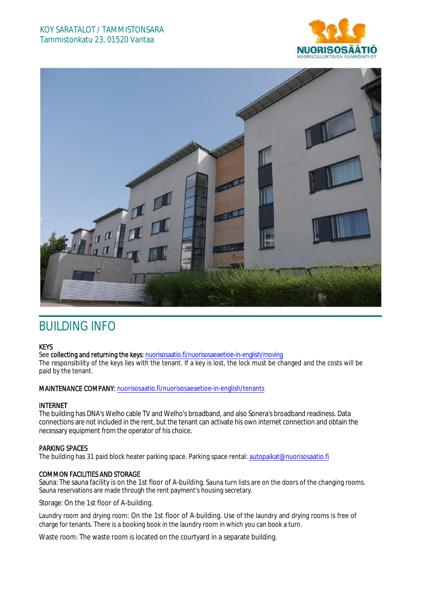## KOY SARATALOT / TAMMISTONSARA Tammistonkatu 23, 01520 Vantaa





# BUILDING INFO

### **KEYS**

See collecting and returning the keys: n[uorisosaatio.fi/nuorisosaeaetioe-](http://www.nuorisosaatio.fi/muuttajalle)in-english/moving The responsibility of the keys lies with the tenant. If a key is lost, the lock must be changed and the costs will be paid by the tenant.

### MAINTENANCE COMPANY: [nuorisosaatio.fi/nuoriso](http://www.nuorisosaatio.fi/asukkaalle)saeaetioe-in-english/tenants

### INTERNET

The building has DNA's Welho cable TV and Welho's broadband, and also Sonera's broadband readiness. Data connections are not included in the rent, but the tenant can activate his own internet connection and obtain the necessary equipment from the operator of his choice.

### PARKING SPACES

The building has 31 paid block heater parking space. Parking space rental: autopaikat@nuorisosaatio.fi

### COMMON FACILITIES AND STORAGE

Sauna: The sauna facility is on the 1st floor of A-building. Sauna turn lists are on the doors of the changing rooms. Sauna reservations are made through the rent payment's housing secretary.

Storage: On the 1st floor of A-building.

Laundry room and drying room: On the 1st floor of A-building. Use of the laundry and drying rooms is free of charge for tenants. There is a booking book in the laundry room in which you can book a turn.

Waste room: The waste room is located on the courtyard in a separate building.